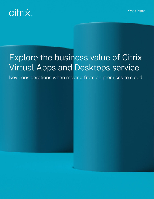White Paper



# Explore the business value of Citrix Virtual Apps and Desktops service

Key considerations when moving from on premises to cloud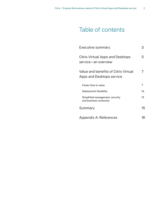# Table of contents

| <b>Executive summary</b>                                          |          |
|-------------------------------------------------------------------|----------|
| Citrix Virtual Apps and Desktops<br>service—an overview           | 5        |
| Value and benefits of Citrix Virtual<br>Apps and Desktops service | $\prime$ |
| Faster time to value                                              | 7        |
| Deployment flexibility                                            | 10       |
| Simplified management, security<br>and business continuity        | 12       |
| Summary                                                           | 15       |
| Appendix A: References                                            | 6        |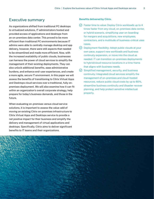# Executive summary

As organizations shifted from traditional PC desktops to virtualized solutions, IT administrators hosted and provided access of applications and desktops from an on-premises data center. This proved to be more efficient than traditional PC environments because IT admins were able to centrally manage desktop and app delivery, however, there were still aspects that needed to be streamlined and made more efficient. Now, with the increased availability of public clouds, businesses can harness the power of cloud services to simplify the management of their existing deployments. They can also unlock additional benefits, ease administrative burdens, and enhance end-user experiences, and create a more agile, secure IT environment. In this paper we will assess the benefits of transitioning to Citrix Virtual Apps and Desktops cloud services over a traditional, fully onpremises deployment. We will also examine how it can fit within an organization's overall corporate strategy, help prepare for today's business demands, and those in the future.

When evaluating on-premises versus cloud service solutions, it is important to assess the value-add of moving an existing Citrix on-premises infrastructure to Citrix Virtual Apps and Desktops service to provide a net positive impact for their business and simplify the delivery and management of virtual applications and desktops. Specifically, Citrix aims to deliver significant benefits to IT teams and their organizations.

#### **Benefits delivered by Citrix.**

- $\heartsuit$  Faster time to value: Deploy Citrix workloads up to 4 times faster from any cloud, on-premises data center, or hybrid scenario, simplifying user on-boarding for mergers and acquisitions, new employees, contractors, and a multitude of business-critical uses cases.
- $\heartsuit$  Deployment flexibility: Adopt public clouds at your own pace, support new workloads and business continuity expansion, or move into the cloud as needed. IT can transition on-premises deployments to hybrid/cloud resource locations in a time frame that aligns with business needs.
- $\Diamond$  Simplified management, security, and business continuity: Integrated cloud services simplify the management of on-premises and cloud-hosted resources, reduce public cloud costs by up to 80%, streamline business continuity and disaster recover planning, and help protect sensitive intellectual property.

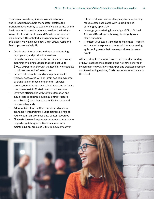This paper provides guidance to administrators and IT leadership to help them better explore the transformative journey to cloud. We will elaborate on the basic economic considerations as well as the intrinsic value of Citrix Virtual Apps and Desktops service and its industry-differentiated management platform. In this paper, we will discuss how Citrix Virtual Apps and Desktops service help IT:

- Accelerate time-to-value with faster onboarding, deployment, and production services
- Simplify business continuity and disaster recovery planning, avoiding outages that can cost up to \$100,000 per hour, through the flexibility of scalable cloud services and infrastructure
- Reduce infrastructure and management costs typically associated with on-premises deployments by transitioning those components—physical servers, operating systems, databases, and software components—into Citrix-hosted cloud services
- Leverage efficiencies with Citrix automation and cloud tools to control cloud IaaS (Infrastructureas-a-Service) costs based up to 80% on user and business demands
- Adopt public cloud IaaS at your desired pace by seamlessly integrating cloud resources alongside your existing on-premises data center resources
- Eliminate the need to plan and execute cumbersome upgrades/patching activities associated with maintaining on-premises Citrix deployments given

Citrix cloud services are always up-to-date, helping reduce costs associated with upgrading and patching by up to 30%

- Leverage your existing knowledge of Citrix Virtual Apps and Desktops technology to simplify your cloud transition
- Architect your cloud transition to maximize IT control and minimize exposure to external threats, creating agile deployments that can respond to unforeseen events

After reading this, you will have a better understanding of how to assess the economic and net-new benefits of investing in new Citrix Virtual Apps and Desktops service and transitioning existing Citrix on-premises software to the cloud.

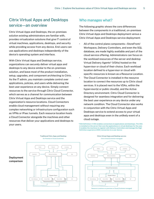# Citrix Virtual Apps and Desktops service—an overview

Citrix Virtual Apps and Desktops, the on-premises solution existing administrators are familiar with, provides virtualization solutions that give IT control of virtual machines, applications, desktops, and security while providing access from any device. End-users can use applications and desktops independently of the device's operating system and interface.

With Citrix Virtual Apps and Desktops service, organizations can securely deliver virtual apps and desktops to any device similar to the on-premises solution, and leave most of the product installation, setup, upgrades, and component architecting to Citrix. As the IT admin, you maintain complete control over applications, policies, and users while delivering the best user experience on any device. Simply connect resources to the service through Citrix Cloud Connector, which serves as a channel for communication between Citrix Virtual Apps and Desktops service and the organization's resource locations. Cloud Connectors enable cloud management without requiring any complex networking or infrastructure configuration such as VPNs or IPsec tunnels. Each resource location hosts a Cloud Connector alongside the machines and other resources that deliver your applications and desktops to your users.

## Who manages what?

The following graphic shows the core differences between the components in a traditional, on-premises Citrix Virtual Apps and Desktops deployment versus a Citrix Virtual Apps and Desktops service deployment:

- All of the control plane components-StoreFront/ Workspace, Delivery Controllers, and even the SQL database, are made highly available and part of the cloud service offering. Administrators can focus on the workload resources of the server and desktop Virtual Delivery Agents\* (VDAs) hosted on the hypervisor or cloud of their choice. Each workload location defined to a hypervisor or cloud with specific resources is known as a Resource Location.
- The Cloud Connector is installed in the resource location to connect the resources up to Citrix cloud services. It is placed next to the VDAs, within the hypervisor(s) or public cloud(s), and the Active Directory environment. Citrix Cloud Connector is designed for seamless integration and for delivering the best user experience on any device under any network condition. The Cloud Connector also works in conjunction with the Citrix Virtual Apps and Desktops service to extend access to your virtual apps and desktops even in the unlikely event of a cloud outage.

\*VDA Definition: A VDA enables connections to applications and desktops. The VDA is installed on the server that runs the applications or virtual desktops for the user. It enables the machines to register with Delivery Controllers and manage the High Definition experience (HDX) connection to a user device.

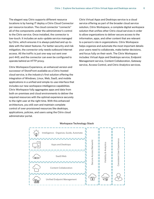The elegant way Citrix supports different resource locations is by having IT deploy a Citrix Cloud Connector per resource location. The cloud connector "connects" all of the components under the administrator's control to the Citrix service. Once installed, the connector is low-touch. It includes an auto-update service managed by Citrix, which ensures it is always patched and up-todate with the latest features. For better security and risk mitigation, the connector only needs outbound Internet access. All the traffic is just one-way out sent over port 443, and the connector can even be configured to operate behind an HTTP proxy.

Citrix Workspace Experience, an enhanced version and successor of StoreFront available as a Citrix-hosted cloud service, is the industry's first solution offering the integration of Windows, Linux, Web, SaaS, and mobile applications in a unified and simple-to-use interface that includes our new workspace intelligence capabilities. Citrix Workspace fully aggregates apps and data from both on-premises and cloud environments to deliver the required resources with the optimal experience securely to the right user at the right time. With this enhanced architecture, you still own and maintain complete control of over-provisioned resources like desktops, applications, policies, and users using the Citrix cloud administrator portal.

Citrix Virtual Apps and Desktops service is a cloud service offering as part of the broader cloud service solution, Citrix Workspace, a complete digital workspace solution that unifies other Citrix cloud services in order to allow organizations to deliver secure access to the information, apps, and other content that are relevant to a person's role in organizations. Citrix Workspace helps organize and automate the most important details your users need to collaborate, make better decisions, and focus fully on their work. The Citrix Workspace includes: Virtual Apps and Desktops service, Endpoint Management service, Content Collaboration, Gateway service, Access Control, and Citrix Analytics services.

#### **Workspace Technology Stack**

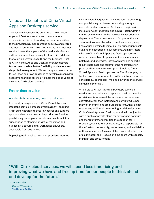# Value and benefits of Citrix Virtual Apps and Desktops service

This section discusses the benefits of Citrix Virtual Apps and Desktops service and the operational efficiencies achieved by adding net-new capabilities to the provisioning, management, security, and overall end-user experience. Citrix Virtual Apps and Desktops service lowers the impacts of the hard and soft costs as IT accelerates their journey to cloud. Citrix delivers the following key values to IT and the business—that is, Citrix Virtual Apps and Desktops service delivers **faster time to value**, better **flexibility**, and **secure and simplified management**. We encourage administrators to use these points as guidance to develop a meaningful assessment and be able to articulate the added value of moving to Citrix cloud services.

# Faster time to value

#### Accelerate time to value; time to production

In a rapidly changing world, Citrix Virtual Apps and Desktops service increases overall agility—enabling Citrix administrators to securely deliver and support apps and data users need to be productive. Service provisioning is completed within minutes; from initial subscription to standing up virtual machines and publishing a secure digital workspace anywhere, accessible from any device.

Deploying traditional software on-premises requires

several capital acquisition activities such as acquiring and provisioning hardware, networking, storage, and data center resources. Deployment begins with installation, configuration, and tuning—often within a staged environment—to be followed by a production deployment. These precursors to full production can span weeks or months, which is not necessarily easy. Ease of use pertains to initial go-live, subsequent scaleout, and the adoption of new services. Administrators who use Citrix Virtual Apps and Desktops service reduce the number of cycles spent on maintenance, patching, and upgrades. Citrix even provides specific tools to help ease and automate the migration of onprem configurations from on-prem Studio to Citrix Virtual Apps and Desktops service. The IT shopping list for hardware procurement to run Citrix infrastructure is considerably decreased—making delivering the service a much simpler task.

When Citrix Virtual Apps and Desktops service is used, the speed with which apps and desktops can be provisioned is increased, because most services are activated rather than installed and configured. Since many of the functions are pure cloud-only, they do not require any additional provisioning. Additionally, using Citrix Virtual Apps and Desktops service in conjunction with a public or private cloud for networking, compute and storage further simplifies the situation for IT. Providers, such as Microsoft Azure, are responsible for the infrastructure security, performance, and availability of those resources. As a result, hardware refresh costs are eliminated, and IT saves on time spent with capacity planning and procurement.

**"With Citrix cloud services, we will spend less time fixing and improving what we have and free up time for our people to think ahead and develop for the future."**

**– Julian Muller**  *Head of IT Operations* **[The National Archives](https://www.citrix.com/blogs/2019/05/08/a-citrix-workspace-story-fit-for-the-national-archives/)**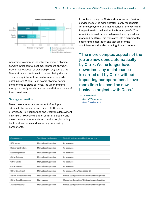

According to common industry statistics, a physical server's initial capital cost may represent only 20%– 50% of its total cost of ownership (TCO) over a 3- to 5-year financial lifetime with the rest being the cost of managing it for uptime, performance, upgrades, patching, etc. When IT can covert physical server components to cloud services, the labor and time savings instantly accelerate the overall time to value of their investment.

#### Savings estimation:

Based on our internal assessment of multiple administrator scenarios, a typical 5,000-user onpremises Citrix Virtual Apps and Desktops deployment may take 3–9 weeks to stage, configure, deploy, and move the core components into production, including back-end resources and necessary networking components.

In contrast, using the Citrix Virtual Apps and Desktops service model, the administrator is only responsible for the deployment and maintenance of the VDAs and integration with the local Active Directory (AD). The remaining infrastructure is deployed, configured, and managed by Citrix. This translates into a significantly shorter implementation and test time for the administrators, thereby reducing time to production.

**"The more complex aspects of the job are now done automatically by Citrix. We no longer have downtime, any maintenance is carried out by Citrix without impacting our operations. I have more time to spend on new business projects with Geas."**

**– John Huitink**  *Head of IT Operations* **[Geas Energiewacht](https://www.citrix.com/blogs/2018/12/04/citrix-cloud-services-completes-the-picture-for-one-of-the-netherlands-largest-energy-maintenance-companies/)**

| Components                     | <b>Traditional deployment</b> | Citrix Virtual Apps and Desktop service         |
|--------------------------------|-------------------------------|-------------------------------------------------|
| SQL server                     | Manual configuration          | As a service                                    |
| Deliver controllers            | Manual configuration          | As a service                                    |
| Licensing server               | Manual configuration          | As a service                                    |
| Citrix Gateway                 | Manual configuration          | As a service                                    |
| Citrix Studio                  | Manual configuration          | As a service                                    |
| Citrix Director                | Manual configuration          | As a service                                    |
| Citrix StoreFront              | Manual configuration          | As a service(New Workspace UI)                  |
| Server & Desktop VDAs          | Manual configuration          | Manual configuration / Citrix automated updates |
| <b>Citrix Cloud Connectors</b> | Not required                  | Manual configuration / Citrix automated updates |
| Active Directory               | Manual configuration          | Manual configuration / Citrix automated updates |
|                                |                               |                                                 |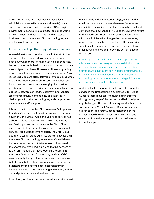Citrix Virtual Apps and Desktops service allows administrators to vastly reduce (or eliminate) costs and delays associated with preparing POCs, staging environments, conducting upgrades, and onboarding new employees and acquisitions—and enables a business to adopt the latest Citrix technologies, which results in net-positive impact.

#### Faster access to platform upgrades and features

When delivering a comprehensive solution within the enterprise, there is a need to constantly innovate, especially when there is either a user-experience gap, key integration with third-party vendors, or perhaps even a security-related issue. However, software upgrading often means time, money, and a complex process. As a result, upgrades are often delayed or avoided altogether. Avoidance often prevents short-term headaches, but it also can keep users from leveraging the latest and greatest product and security enhancements. Failure to upgrade software can lead to security vulnerabilities, loss of productivity, compatibility and integration challenges with other technologies, and compromised maintenance and/or support.

It is important to note that Citrix releases 2–4 updates to Virtual Apps and Desktops (on-premises) each year; however, Citrix Virtual Apps and Desktops service has a shorter release cadence. With Citrix Virtual Apps and Desktops service, upgrades to the Citrix Cloud management plane, as well as upgrades to individual services, are automatic (managed by the Citrix Cloud operations team). Cloud administrators are always using the latest Citrix technology as soon as it's available before on-premises administrators—and they avoid the operational overhead, time, and testing necessary to perform manual upgrades. Users are leveraging the latest features and functionality, while the VDAs are constantly being optimized with each new release. With the ability to offload upgrades to Citrix services, organizations mitigate the costs associated with installation, data migration, staging and testing, and rollout and potential conversion downtime.

In addition, traditional on-premises administrators must

rely on product documentation, blogs, social media, email, and webinars to know when new features and capabilities are available and then manually install and configure that new capability. Due to the dynamic nature of the cloud services, Citrix can communicate directly with the administrative UI regarding improvements, news services, or scheduled outages. This makes it easy for admins to know what's available when, and how much it can enhance or improve the performance for their users.

Choosing Citrix Virtual Apps and Desktops service alleviates time-consuming software installations, upfront configurations, ongoing maintenance, and eventual upgrades. Administrators don't need to procure, install, and maintain additional servers or other hardware conserving valuable time for more strategic initiatives and assigning capital for other investments.

Additionally, to assure rapid and complete production service in the first attempt, a dedicated Citrix Cloud Success team is available to guide administrators through every step of the process and help navigate any challenges. This complimentary service is included with your Citrix Virtual Apps and Desktops service subscription, and your Success Manager is there to ensure you have the necessary Citrix guide and resources to meet your organization's business and technology goals.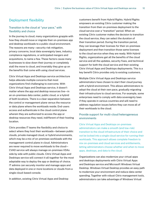# Deployment flexibility

#### Transition to the cloud at "your pace," with flexibility and choice

In the journey to cloud, many organizations grapple with how they should move or migrate their on-premises app and desktop workloads to a public cloud environment. The reasons are many—security risk mitigation, privacy concerns, local data sovereignty laws, industry compliance regulations, or anticipated mergers and acquisitions, to name a few. These factors cause many businesses to slow down their journey or completely stall the move to cloud, and invariably they give up on the benefits that come with using cloud services.

Citrix Virtual Apps and Desktops service architecture helps alleviate multiple concerns that most organizations find challenging to overcome. With Citrix Virtual Apps and Desktops service, it doesn't matter where the app and desktop resources live—in an on-premises data center, public cloud, or a hybrid of both locations. There is a clear separation between the control or management plane versus the resource or data plane where the workloads reside. End-users access and authenticate in the cloud control plane wherein they are authorized to access the app or desktop resources they need, indifferent of their hosting location.

Citrix provides IT teams the flexibility and choice to select where they host their workloads—between public clouds, private managed cloud, or hybrid environments, which may be a mix of on-premises workloads with the management control plane in cloud. Administrators are never required to move workloads to the cloud— CVAD service will always manage on-premises VDAs side by side with public clouds. Citrix Virtual Apps and Desktops service will connect it all together for the most adaptable way to deploy the app or desktop of choice. IT admins can securely monitor and manage apps and data deployed in one or more locations or clouds from a single cloud-based console.

In addition, existing Citrix Virtual Apps and Desktop

customers benefit from Hybrid Rights. Hybrid Rights empowers an existing Citrix customer making the transition from their on-premises deployment to the cloud service over a "transition" period. When an existing Citrix customer makes the decision to transition the cloud service, they can select the duration of their transition period. During the transition period, they can leverage their licenses for their on-premises deployment and then transition those same licenses to the cloud service when they are ready. With Hybrid Rights, organizations get all the benefits of the cloud service and all the updates, security fixes, and technical support for both the cloud service and their existing Citrix Virtual Apps and Desktops deployments. This is a key benefit Citrix provides only to existing customers.

Multiple Citrix Virtual Apps and Desktops service administrators have chosen to start their cloud journey with a hybrid environment. This allows administrators to adopt the cloud at their own pace, gradually migrating their infrastructure to cloud services. For example, some enterprises need to comply with data sovereignty laws if they operate in various countries and will need to address regulation issues before they can move all of their workloads to the cloud.

#### Provide support for multi-cloud heterogeneous environments

Citrix Virtual Apps and Desktops on-premises administrators can make a smooth (and low-risk) transition to the cloud infrastructure of their choice and not be locked into a single cloud service for running their workloads. This approach allows complete freedom to mix on-premises and cloud services and entitlements, letting administrators choose whether and when to move apps, desktops, and data to the cloud.

Organizations can also modernize your virtual apps and desktops deployments with Citrix Virtual Apps and Desktops service and Microsoft Windows Virtual Desktop. Windows Virtual Desktop provides an easy path to modernize your environment and reduce data center spending. Together with robust Citrix management tools, administrators can take advantage of Windows Virtual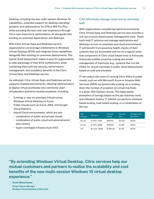Desktop, including the new multi-session Windows 10 capabilities, extended support for desktop operating systems, and optimizations for Office 365 Pro Plus, while providing the best end-user experience through Citrix user experience optimizations, all alongside their existing on-premises applications and desktops.

With Citrix Virtual Apps and Desktops service, organizations can leverage entitlements to Windows Virtual Desktop (WVD) and integrate those capabilities alongside their existing on-premises deployments. This hybrid cloud deployment makes it easy for organizations to take advantage of new WVD entitlements, while combining them with the security, performance, management, and scalability benefits of the Citrix Virtual Apps and Desktops service.

As indicated, Citrix Virtual Apps and Desktops service supports multiple environments, allowing administrators to deploy virtual workloads onto commonly used virtualization platforms hosted anywhere, including:

- Existing or new on-premises infrastructure
- Windows Virtual Desktop on Azure
- Public Clouds such as Azure, AWS, and Google Cloud Platform
- Hybrid Cloud environments, which are any:
	- combination of public and private clouds
	- combination of public cloud and administrators' data centers
	- hyper-converged infrastructure (HCI)

#### Cost effectively manage cloud and on-premises IaaS

With organizations considering hybrid environments, Citrix Virtual Apps and Desktops service also provides a rich set of cloud-based power management tools. These tools help IT optimize and manage applications and desktops across on-premises and cloud environments. IT will benefit from proactive health checks of their systems that are automated and run on a regular basis. One component of Citrix cloud-based tools is Autoscale. Autoscale enables proactive scaling and power management of machines (e.g., systems that run the VDAs) for virtual machines in public cloud deployments based on load and schedule.

IT can reduce the costs of running Citrix VDAs in public clouds, such as with Microsoft Azure or Amazon Web Services (AWS), by dynamically scaling up or scaling down the number of powered-on virtual machines in a given VDA Delivery Group. This helps better estimation of savings based on the per-machine costs and utilization history. IT admins can perform schedulebased scaling, load-based scaling, or a combination of the two.

| VM.<br>instance | VM specs        | Cost per<br>month | Cost per<br>hour | Storage costs<br>per month |
|-----------------|-----------------|-------------------|------------------|----------------------------|
| D3_V2           | 4 vCPU / 14GB   | \$367.92          | \$0.504          | \$5.94                     |
| D4_V2           | 8 vCPU / 28GB   | \$735.84          | \$1,008          | \$5.94                     |
| F16             | 16 cores / 32GB | \$1,264.36        | \$1,732          | \$5.94                     |

**"By extending Windows Virtual Desktop, Citrix services help our mutual customers and partners to realize the scalability and cost benefits of the new multi-session Windows 10 virtual desktop experience."**

**– Scott Manchester**  *Group Program Manager* **Windows Virtual Desktop at Microsoft**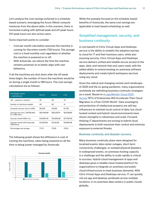Let's analyze the cost-savings achieved in a schedulebased scenario, leveraging the Azure (West) compute instances from the above table. In this scenario, there is horizontal scaling with defined peak and off-peak hours. Off-peak hours are zero active users.

Some important points to consider:

- Cost per month calculation assumes the machine is running for the entire month (730 hours). The storage cost is a fixed monthly cost regardless of whether the machine is powered on or off.
- With Autoscale, we reduce the time the machine remains powered-on to better align with user behaviors.

If all the machines are shut down after the off-peak times begin, the number of hours the machines would be on during a single month is 198 hours. The cost savings calculations are as follows:

| Knowledge worker<br>-machine size                    | D3_V2       | D4 V2       | F16         |
|------------------------------------------------------|-------------|-------------|-------------|
| VSI - sessions / machine                             | 25          | 50          | 74          |
| Number of machines needed                            | 40          | 20          | 14          |
| Compute cost per hour (in USD)                       | \$0.504     | \$1,008     | \$1,732     |
| Cost per hour (incl. 128 GB disk)<br>for 1,000 users | \$20,48548  | \$20.32274  | \$24,36192  |
| Cost per month (100% on)                             | \$14,954.40 | \$14,835.60 | \$17,784.20 |
| Cost per month with Autoscale<br>(198 hours)         | \$4,229.28  | \$4,110.48  | \$4,884.26  |
| Percentage cost savings                              | 71.72       | 72.29       | 72.54       |

The following graph shows the difference in cost of running the machines, when being powered on all the time vs being power-managed by Autoscale.



While the example focused on the schedule-based benefits of Autoscale, the same cost savings are applicable to load-based scheduling as well.

# Simplified management, security, and business continuity

A core benefit of Citrix Virtual Apps and Desktops service is the ability to simplify the adoption journey to cloud for IT and their business users, while also ensuring security. Citrix Virtual Apps and Desktops service delivers unified and reliable secure access to the apps, data, and network that end-users need, with the added ability to extend existing on-premises software deployments and create hybrid workspace services using any cloud.

Given the radical and changing remote work landscape of 2020 and the on-going pandemic, many organizations worldwide are rethinking business continuity strategies as a result. Based on a *[LogicMonitor Cloud 2025](https://www.logicmonitor.com/resource/cloud-2025/?utm_medium=pr&utm_source=businesswire&utm_term=na&utm_content=na&utm_campaign=2020_Q2_Press_Release_Cloud_2025_Study&utm_theme=na)  [Survey](https://www.logicmonitor.com/resource/cloud-2025/?utm_medium=pr&utm_source=businesswire&utm_term=na&utm_content=na&utm_campaign=2020_Q2_Press_Release_Cloud_2025_Study&utm_theme=na)*,"87% of Enterprises Will Accelerate Their Cloud Migration in a Post-COVID World". Data sovereignty and protection of intellectual property are still key influencers to maintain local control of data, but cloudhosted content and hybrid-cloud environments have shown strengths in robustness and scale. Forwardthinking IT departments are turning to hybrid cloud deployments to both maximize their control and minimize exposure to external threats.

#### Business continuity and disaster recovery

Many business continuity plans were designed for localized events: data center outages, short-term connectivity challenges, or isolated physical disasters. In widespread events, on-premises hosting capacity is a challenge and the ability to scale rapidly is critical to success. Hybrid-cloud management of apps and desktops gives a reliable cloud-hosted platform for organizations to integrate on-premises and public cloud infrastructure to meet business demands. With Citrix Virtual Apps and Desktops service, IT can quickly roll out app and desktop workloads across multiple locations, in on-premises data centers or public clouds globally.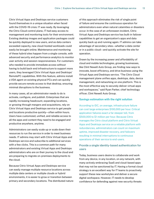Citrix Virtual Apps and Desktops service customers found themselves in a unique situation when faced with the COVID-19 crisis: IT was ready. By leveraging the Citrix Cloud control plane, IT had easy access to management and monitoring tools for their environment. Existing desktop images and application packages could be quickly deployed to new users, and as data centers exceeded capacity, new cloud-hosted workloads could easily be brought online. Maintenance and monitoring of these hybrid sites happen from a single console, with advanced security and performance analytics to monitor user activity and session responsiveness. For customers who needed to provide immediate access without having to build back-end infrastructure to support more users, they leveraged Citrix Virtual Apps and Desktops' RemotePC capabilities. With this feature, admins install a VDA agent on existing physical PCs and can quickly provide secure remote access to that desktop, ensuring minimal disruptions to the business.

In many cases, all an administrator needs to do is activate, configure, and publish. Enterprises that are rapidly increasing headcount, expanding locations, or growing through mergers and acquisitions, rely on Citrix Virtual Apps and Desktops service to get people and locations productive quickly—often within hours. Users have customized, unified, and reliable access to all the apps and content they need to be engaged and productive anywhere, anytime.

Administrators can easily scale up or scale down their resources to run the service in order to meet business needs. IT admins may start with Citrix Virtual Apps and Desktops service and subscribe to additional services with a few clicks. This is a common path for many administrators and existing Virtual Apps and Desktops administrators who are on their journey to the cloud and are preparing to migrate on-premises deployments to the cloud.

Because Citrix Virtual Apps and Desktops service can easily manage multiple resource locations across multiple data centers or multiple clouds or hybrid environments, it is easier to grow or transition between primary and secondary locations. The distributed nature of this approach eliminates the risk of single point of failure and ensures the continuous operation for administrators even when natural calamities or disasters occur. In the case of an unforeseen incident, Citrix Virtual Apps and Desktops service has built-in failover capabilities to get an organization's apps and data quickly back up and running again. IT admins can take advantage of secondary sites—whether a data center or in a public cloud—and quickly activate the site for operation.

Drawn by the increasing power and affordability of cloud and mobile technologies, growing businesses, like Clint Newell Auto Group, are finding new ways to innovate, boost efficiency, and drive business using the Virtual Apps and Desktops service. "The Citrix Cloud management plane unifies apps, desktops, data, device management, and networking on one platform. This is the most effective way to securely deliver virtual apps and workspaces," said Ryan Parker, chief technology officer, Clint Newell Auto Group.

#### **Savings estimation with the right solution**

According to IDC, on average, infrastructure failure can cost large enterprises \$100,000 per hour. Critical application failures exact a far steeper toll, from \$500,000 to \$1 million per hour. Because Citrix manages the Citrix cloud platform and Citrix Virtual Apps and Desktops service on a reliable platform with redundancies, administrators can count on maximum uptime, improved disaster recovery, and failovers resulting in minimal interruptions to continuous operations of their service to end-users.

#### Provide a single identity-based authentication for users

Today, business users desire to collaborate and work from any device, in any location, on any network, with many actively embracing SaaS and cloud-based apps that may not be sanctioned by IT. Having a formal cloud strategy is an excellent way for IT teams to proactively support these new workstyles and deliver a secure digital workspace. However, IT needs to develop confidence for defending against new security threats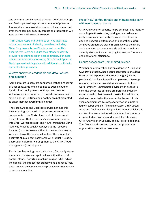and ever more sophisticated attacks. Citrix Virtual Apps and Desktops service provides a number of powerful tools and features to address some of the common and even more complex security threats an organization will face as they shift toward the cloud.

Citrix Virtual Apps and Desktops service integrates with an assortment of identity providers, including Okta, Ping, Azure Active Directory, and more. This ensures that users can utilize their standard identity provider and authentication access strategy. For more robust authentication measures, Citrix Virtual Apps and Desktops service integrates with additional multi-factor authentication providers.

#### Always encrypted credentials and data—at rest and in motion

Administrators usually are concerned with the handling of user passwords when it comes to public cloud or hybrid cloud deployments. With app and desktop virtualization, it is important to provide end-users with a single sign-on (SSO) to apps, so they are not prompted to enter their password multiple times.

The Virtual Apps and Desktops service handles this by encrypting passwords on-premises, ensuring that components in the Citrix cloud control plane cannot decrypt them. That is, the user's password is entered into Citrix Workspace app, and flows through the Citrix Gateway which is usually deployed at the resource location (on-premises) and then to the cloud connector, which is also at the resource location. The connector encrypts all plain-text passwords with robust AES 256 encryption before forwarding them to the Citrix Cloud management (control) plane.

For further hardening security in cloud, Citrix only stores metadata on users and applications within the cloud control plane. The virtual machine images (VM)—which includes all the intellectual property and app resources/ data—remain on administrator's premises or their choice of resource location.

#### Proactively identify threats and mitigate risks early with user-based analytics

Citrix Analytics for Security helps organizations identify and mitigate threats using intelligent and advanced analytics of user and entity behavior, in addition to app and network performance and operations. Citrix Analytics proactively alerts IT on malicious behaviors and anomalies, and recommends actions to mitigate security risks, while also helping improve performance and operational efficiency.

#### Secure access from unmanaged devices

Whether an organization has an extensive "Bring Your Own Device" policy, has a large contractor/consulting base, or has experienced abrupt changes (like the pandemic) that have forced its employees to leverage personal or family-owned devices to execute their work remotely—unmanaged devices with access to sensitive corporate data are proliferating. Industry experts predict that there will be 6 billion additional devices connected to the internet by the end of this year, opening more gateways for cyber-criminals to launch cyber-attacks, like ransomware. Citrix Virtual Apps and Desktops service provides robust policies and controls to ensure that sensitive intellectual property is protected on any type of device. Integration with Citrix Analytics for Security and our set of additional Zero Trust cloud services can further protect the organizations' sensitive resources.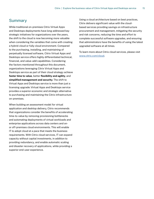# Summary

While traditional on-premises Citrix Virtual Apps and Desktops deployments have long addressed key strategic initiatives for organizations over the years, the shift to the cloud is now becoming more valuable when considering the variables that come with creating a hybrid-cloud or fully cloud environment. Compared to the purchasing, installing, and maintaining of perpetually licensed software, Citrix Virtual Apps and Desktops service offers highly differentiated technical, financial, and value-add capabilities. Considering the factors mentioned throughout this document, organizations leveraging Citrix Virtual Apps and Desktops service as part of their cloud strategy achieve **faster time to value**, better **flexibility and agility**, and **simplified management and security**. The shift to Virtual Apps and Desktops service is more than just a licensing upgrade: Virtual Apps and Desktops service provides a superior economic and strategic alternative to purchasing and maintaining the Citrix infrastructure on-premises.

When building an assessment model for virtual application and desktop delivery, Citrix recommends that organizations consider the benefits of accelerating time-to-value by removing provisioning bottlenecks and automating deployments of virtual workloads and enterprise applications across data centers and onor off-premises cloud environments. This will enable IT to adopt cloud at a pace that meets the business requirements. With Citrix cloud services, IT can expand capacity without capital investments, in addition to providing redundancy, and enable automatic scaling and disaster recovery of applications, while providing a superior end-user experience.

Using a cloud architecture based on best practices, Citrix delivers significant value with the cloudbased services providing savings on infrastructure procurement and management, mitigating the security and risk concerns, reducing the time and effort to complete successful software upgrades, and ensuring that administrators have the benefits of using the latest upgraded software at all times.

To learn more about Citrix cloud services, please visit [www.citrix.com/cloud.](https://www.citrix.com/products/citrix-cloud/)